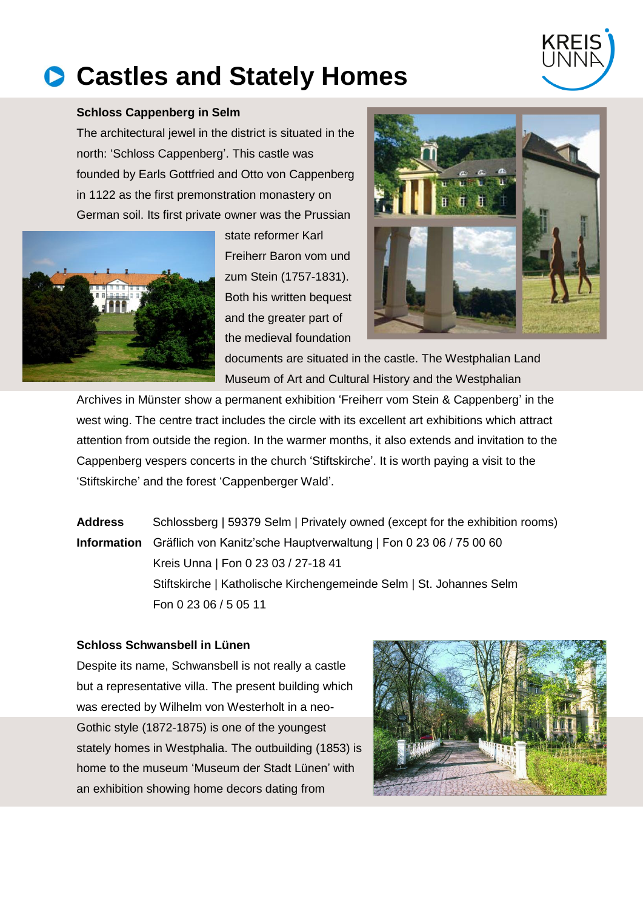# **Castles and Stately Homes**



# **Schloss Cappenberg in Selm**

The architectural jewel in the district is situated in the north: 'Schloss Cappenberg'. This castle was founded by Earls Gottfried and Otto von Cappenberg in 1122 as the first premonstration monastery on German soil. Its first private owner was the Prussian



state reformer Karl Freiherr Baron vom und zum Stein (1757-1831). Both his written bequest and the greater part of the medieval foundation



documents are situated in the castle. The Westphalian Land Museum of Art and Cultural History and the Westphalian

Archives in Münster show a permanent exhibition 'Freiherr vom Stein & Cappenberg' in the west wing. The centre tract includes the circle with its excellent art exhibitions which attract attention from outside the region. In the warmer months, it also extends and invitation to the Cappenberg vespers concerts in the church 'Stiftskirche'. It is worth paying a visit to the 'Stiftskirche' and the forest 'Cappenberger Wald'.

**Address** Schlossberg | 59379 Selm | Privately owned (except for the exhibition rooms) **Information** Gräflich von Kanitz'sche Hauptverwaltung | Fon 0 23 06 / 75 00 60 Kreis Unna | Fon 0 23 03 / 27-18 41 Stiftskirche | Katholische Kirchengemeinde Selm | St. Johannes Selm Fon 0 23 06 / 5 05 11

#### **Schloss Schwansbell in Lünen**

Despite its name, Schwansbell is not really a castle but a representative villa. The present building which was erected by Wilhelm von Westerholt in a neo-Gothic style (1872-1875) is one of the youngest stately homes in Westphalia. The outbuilding (1853) is home to the museum 'Museum der Stadt Lünen' with an exhibition showing home decors dating from

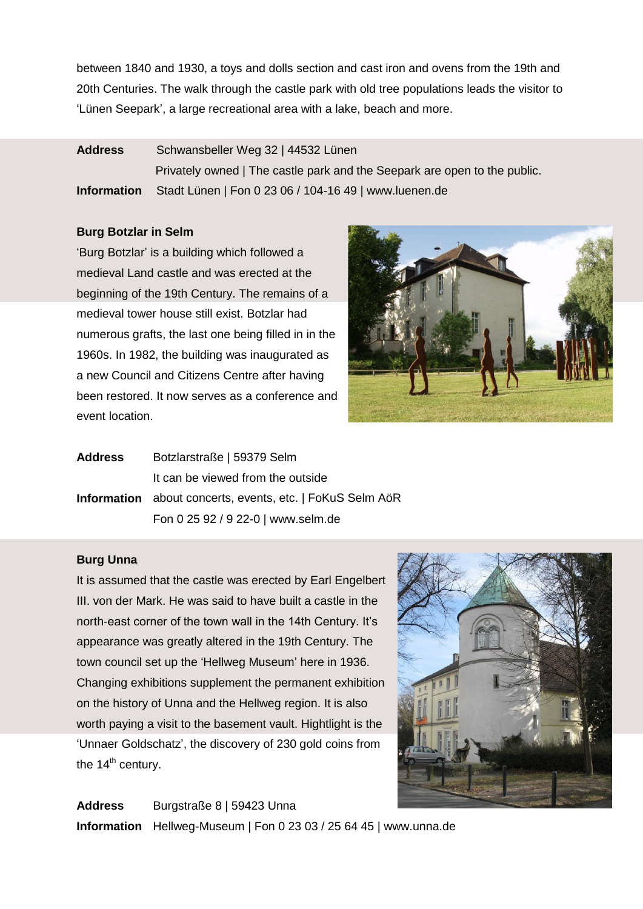between 1840 and 1930, a toys and dolls section and cast iron and ovens from the 19th and 20th Centuries. The walk through the castle park with old tree populations leads the visitor to 'Lünen Seepark', a large recreational area with a lake, beach and more.

# **Address** Schwansbeller Weg 32 | 44532 Lünen

Privately owned | The castle park and the Seepark are open to the public. **Information** Stadt Lünen | Fon 0 23 06 / 104-16 49 | www.luenen.de

# **Burg Botzlar in Selm**

'Burg Botzlar' is a building which followed a medieval Land castle and was erected at the beginning of the 19th Century. The remains of a medieval tower house still exist. Botzlar had numerous grafts, the last one being filled in in the 1960s. In 1982, the building was inaugurated as a new Council and Citizens Centre after having been restored. It now serves as a conference and event location.



| <b>Address</b> | Botzlarstraße   59379 Selm                                       |
|----------------|------------------------------------------------------------------|
|                | It can be viewed from the outside                                |
|                | <b>Information</b> about concerts, events, etc.   FoKuS Selm AöR |
|                | Fon 0 25 92 / 9 22-0   www.selm.de                               |

#### **Burg Unna**

It is assumed that the castle was erected by Earl Engelbert III. von der Mark. He was said to have built a castle in the north-east corner of the town wall in the 14th Century. It's appearance was greatly altered in the 19th Century. The town council set up the 'Hellweg Museum' here in 1936. Changing exhibitions supplement the permanent exhibition on the history of Unna and the Hellweg region. It is also worth paying a visit to the basement vault. Hightlight is the 'Unnaer Goldschatz', the discovery of 230 gold coins from the  $14<sup>th</sup>$  century.



**Address** Burgstraße 8 | 59423 Unna **Information** Hellweg-Museum | Fon 0 23 03 / 25 64 45 | www.unna.de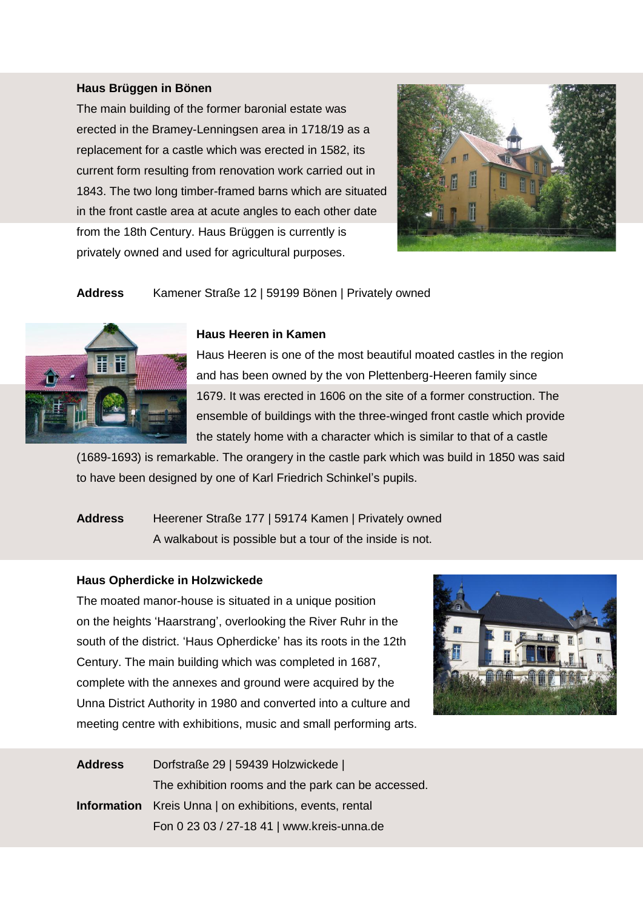# **Haus Brüggen in Bönen**

The main building of the former baronial estate was erected in the Bramey-Lenningsen area in 1718/19 as a replacement for a castle which was erected in 1582, its current form resulting from renovation work carried out in 1843. The two long timber-framed barns which are situated in the front castle area at acute angles to each other date from the 18th Century. Haus Brüggen is currently is privately owned and used for agricultural purposes.



**Address** Kamener Straße 12 | 59199 Bönen | Privately owned



#### **Haus Heeren in Kamen**

Haus Heeren is one of the most beautiful moated castles in the region and has been owned by the von Plettenberg-Heeren family since 1679. It was erected in 1606 on the site of a former construction. The ensemble of buildings with the three-winged front castle which provide the stately home with a character which is similar to that of a castle

(1689-1693) is remarkable. The orangery in the castle park which was build in 1850 was said to have been designed by one of Karl Friedrich Schinkel's pupils.

# **Address** Heerener Straße 177 | 59174 Kamen | Privately owned A walkabout is possible but a tour of the inside is not.

#### **Haus Opherdicke in Holzwickede**

The moated manor-house is situated in a unique position on the heights 'Haarstrang', overlooking the River Ruhr in the south of the district. 'Haus Opherdicke' has its roots in the 12th Century. The main building which was completed in 1687, complete with the annexes and ground were acquired by the Unna District Authority in 1980 and converted into a culture and meeting centre with exhibitions, music and small performing arts.



| <b>Address</b> | Dorfstraße 29   59439 Holzwickede                              |
|----------------|----------------------------------------------------------------|
|                | The exhibition rooms and the park can be accessed.             |
|                | <b>Information</b> Kreis Unna   on exhibitions, events, rental |
|                | Fon 0 23 03 / 27-18 41   www.kreis-unna.de                     |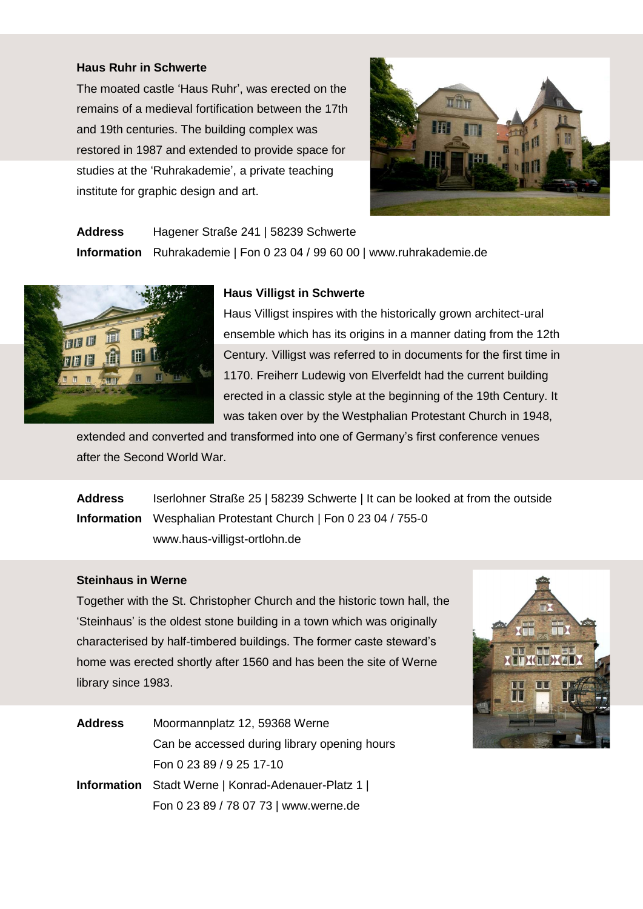# **Haus Ruhr in Schwerte**

The moated castle 'Haus Ruhr', was erected on the remains of a medieval fortification between the 17th and 19th centuries. The building complex was restored in 1987 and extended to provide space for studies at the 'Ruhrakademie', a private teaching institute for graphic design and art.



**Address** Hagener Straße 241 | 58239 Schwerte **Information** Ruhrakademie | Fon 0 23 04 / 99 60 00 | www.ruhrakademie.de



### **Haus Villigst in Schwerte**

Haus Villigst inspires with the historically grown architect-ural ensemble which has its origins in a manner dating from the 12th Century. Villigst was referred to in documents for the first time in 1170. Freiherr Ludewig von Elverfeldt had the current building erected in a classic style at the beginning of the 19th Century. It was taken over by the Westphalian Protestant Church in 1948,

extended and converted and transformed into one of Germany's first conference venues after the Second World War.

**Address** Iserlohner Straße 25 | 58239 Schwerte | It can be looked at from the outside **Information** Wesphalian Protestant Church | Fon 0 23 04 / 755-0 www.haus-villigst-ortlohn.de

#### **Steinhaus in Werne**

Together with the St. Christopher Church and the historic town hall, the 'Steinhaus' is the oldest stone building in a town which was originally characterised by half-timbered buildings. The former caste steward's home was erected shortly after 1560 and has been the site of Werne library since 1983.



| <b>Address</b> | Moormannplatz 12, 59368 Werne                            |
|----------------|----------------------------------------------------------|
|                | Can be accessed during library opening hours             |
|                | Fon 0 23 89 / 9 25 17-10                                 |
|                | <b>Information</b> Stadt Werne   Konrad-Adenauer-Platz 1 |
|                | Fon 0 23 89 / 78 07 73   www.werne.de                    |